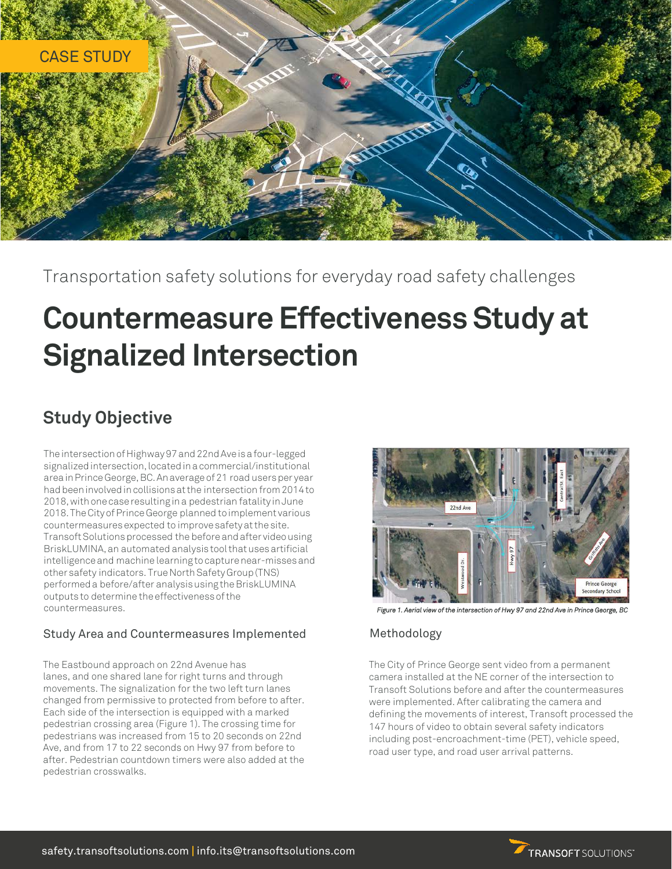

Transportation safety solutions for everyday road safety challenges

# **Countermeasure Effectiveness Study at Signalized Intersection**

## **Study Objective**

The intersection of Highway 97 and 22nd Ave is a four-legged signalized intersection, located in a commercial/institutional area in Prince George, BC. An average of 21 road users per year had been involved in collisions at the intersection from 2014 to 2018, with one case resulting in a pedestrian fatality in June 2018. The City of Prince George planned to implement various countermeasures expected to improve safety at the site. Transoft Solutions processed the before and after video using BriskLUMINA, an automated analysis tool that uses artificial intelligence and machine learning to capture near-misses and other safety indicators. True North Safety Group (TNS) performed a before/after analysis using the BriskLUMINA outputs to determine the effectiveness of the countermeasures.

### Study Area and Countermeasures Implemented

The Eastbound approach on 22nd Avenue has lanes, and one shared lane for right turns and through movements. The signalization for the two left turn lanes changed from permissive to protected from before to after. Each side of the intersection is equipped with a marked pedestrian crossing area (Figure 1). The crossing time for pedestrians was increased from 15 to 20 seconds on 22nd Ave, and from 17 to 22 seconds on Hwy 97 from before to after. Pedestrian countdown timers were also added at the pedestrian crosswalks.



 *Figure 1. Aerial view of the intersection of Hwy 97 and 22nd Ave in Prince George, BC*

### Methodology

The City of Prince George sent video from a permanent camera installed at the NE corner of the intersection to Transoft Solutions before and after the countermeasures were implemented. After calibrating the camera and defining the movements of interest, Transoft processed the 147 hours of video to obtain several safety indicators including post-encroachment-time (PET), vehicle speed, road user type, and road user arrival patterns.